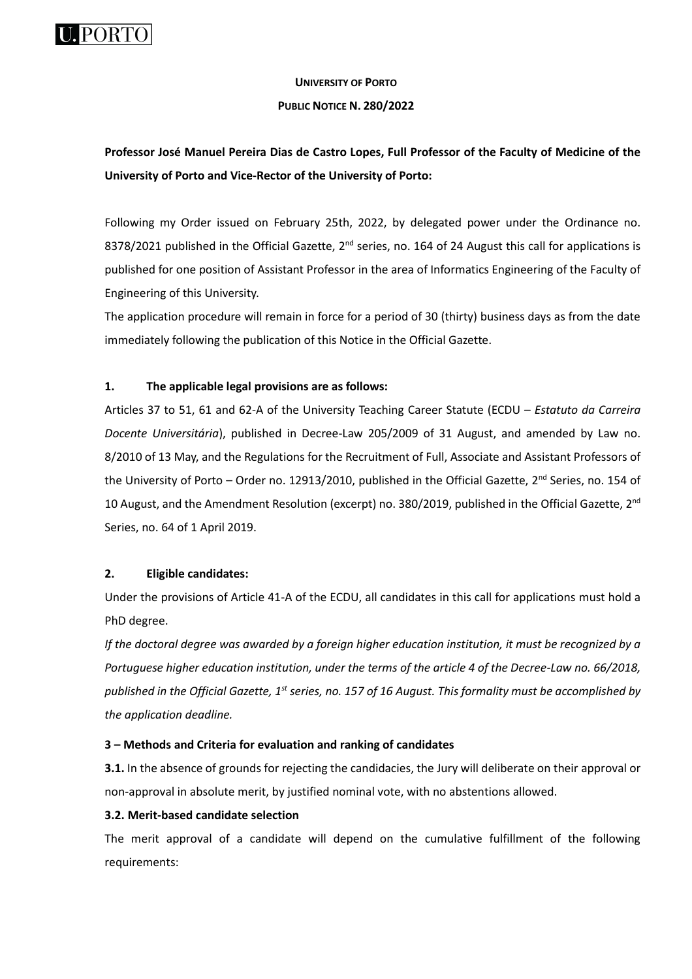

# **UNIVERSITY OF PORTO**

#### **PUBLIC NOTICE N. 280/2022**

# **Professor José Manuel Pereira Dias de Castro Lopes, Full Professor of the Faculty of Medicine of the University of Porto and Vice-Rector of the University of Porto:**

Following my Order issued on February 25th, 2022, by delegated power under the Ordinance no. 8378/2021 published in the Official Gazette, 2<sup>nd</sup> series, no. 164 of 24 August this call for applications is published for one position of Assistant Professor in the area of Informatics Engineering of the Faculty of Engineering of this University.

The application procedure will remain in force for a period of 30 (thirty) business days as from the date immediately following the publication of this Notice in the Official Gazette.

## **1. The applicable legal provisions are as follows:**

Articles 37 to 51, 61 and 62-A of the University Teaching Career Statute (ECDU – *Estatuto da Carreira Docente Universitária*), published in Decree-Law 205/2009 of 31 August, and amended by Law no. 8/2010 of 13 May, and the Regulations for the Recruitment of Full, Associate and Assistant Professors of the University of Porto - Order no. 12913/2010, published in the Official Gazette, 2<sup>nd</sup> Series, no. 154 of 10 August, and the Amendment Resolution (excerpt) no. 380/2019, published in the Official Gazette, 2nd Series, no. 64 of 1 April 2019.

# **2. Eligible candidates:**

Under the provisions of Article 41-A of the ECDU, all candidates in this call for applications must hold a PhD degree.

*If the doctoral degree was awarded by a foreign higher education institution, it must be recognized by a Portuguese higher education institution, under the terms of the article 4 of the Decree-Law no. 66/2018, published in the Official Gazette, 1st series, no. 157 of 16 August. This formality must be accomplished by the application deadline.*

## **3 – Methods and Criteria for evaluation and ranking of candidates**

**3.1.** In the absence of grounds for rejecting the candidacies, the Jury will deliberate on their approval or non-approval in absolute merit, by justified nominal vote, with no abstentions allowed.

## **3.2. Merit-based candidate selection**

The merit approval of a candidate will depend on the cumulative fulfillment of the following requirements: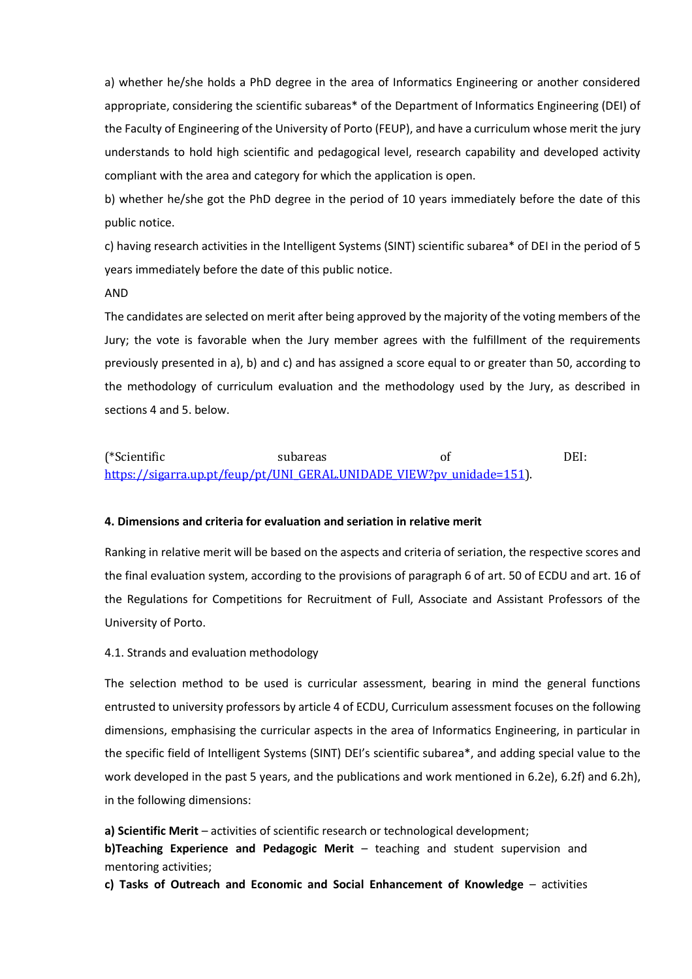a) whether he/she holds a PhD degree in the area of Informatics Engineering or another considered appropriate, considering the scientific subareas\* of the Department of Informatics Engineering (DEI) of the Faculty of Engineering of the University of Porto (FEUP), and have a curriculum whose merit the jury understands to hold high scientific and pedagogical level, research capability and developed activity compliant with the area and category for which the application is open.

b) whether he/she got the PhD degree in the period of 10 years immediately before the date of this public notice.

c) having research activities in the Intelligent Systems (SINT) scientific subarea\* of DEI in the period of 5 years immediately before the date of this public notice.

#### AND

The candidates are selected on merit after being approved by the majority of the voting members of the Jury; the vote is favorable when the Jury member agrees with the fulfillment of the requirements previously presented in a), b) and c) and has assigned a score equal to or greater than 50, according to the methodology of curriculum evaluation and the methodology used by the Jury, as described in sections 4 and 5. below.

# (\*Scientific subareas of DEI: [https://sigarra.up.pt/feup/pt/UNI\\_GERAL.UNIDADE\\_VIEW?pv\\_unidade=151\)](https://sigarra.up.pt/feup/pt/UNI_GERAL.UNIDADE_VIEW?pv_unidade=151).

#### **4. Dimensions and criteria for evaluation and seriation in relative merit**

Ranking in relative merit will be based on the aspects and criteria of seriation, the respective scores and the final evaluation system, according to the provisions of paragraph 6 of art. 50 of ECDU and art. 16 of the Regulations for Competitions for Recruitment of Full, Associate and Assistant Professors of the University of Porto.

#### 4.1. Strands and evaluation methodology

The selection method to be used is curricular assessment, bearing in mind the general functions entrusted to university professors by article 4 of ECDU, Curriculum assessment focuses on the following dimensions, emphasising the curricular aspects in the area of Informatics Engineering, in particular in the specific field of Intelligent Systems (SINT) DEI's scientific subarea\*, and adding special value to the work developed in the past 5 years, and the publications and work mentioned in 6.2e), 6.2f) and 6.2h), in the following dimensions:

**a) Scientific Merit** – activities of scientific research or technological development;

**b)Teaching Experience and Pedagogic Merit** – teaching and student supervision and mentoring activities;

**c) Tasks of Outreach and Economic and Social Enhancement of Knowledge** – activities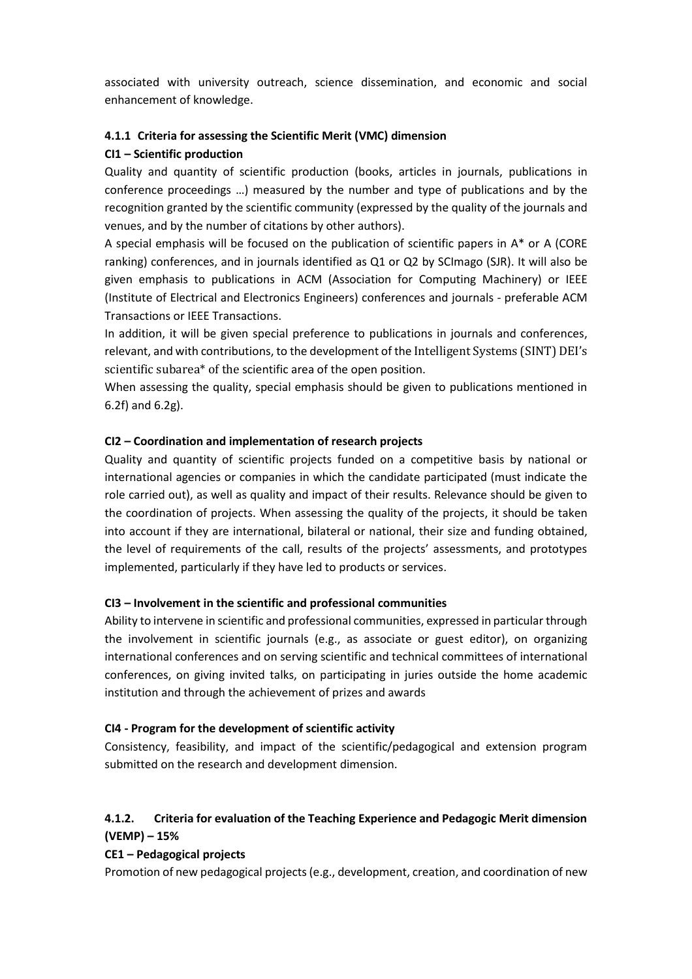associated with university outreach, science dissemination, and economic and social enhancement of knowledge.

#### **4.1.1 Criteria for assessing the Scientific Merit (VMC) dimension**

#### **CI1 – Scientific production**

Quality and quantity of scientific production (books, articles in journals, publications in conference proceedings …) measured by the number and type of publications and by the recognition granted by the scientific community (expressed by the quality of the journals and venues, and by the number of citations by other authors).

A special emphasis will be focused on the publication of scientific papers in A\* or A (CORE ranking) conferences, and in journals identified as Q1 or Q2 by SCImago (SJR). It will also be given emphasis to publications in ACM (Association for Computing Machinery) or IEEE (Institute of Electrical and Electronics Engineers) conferences and journals - preferable ACM Transactions or IEEE Transactions.

In addition, it will be given special preference to publications in journals and conferences, relevant, and with contributions, to the development of the Intelligent Systems (SINT) DEI's scientific subarea\* of the scientific area of the open position.

When assessing the quality, special emphasis should be given to publications mentioned in 6.2f) and 6.2g).

#### **CI2 – Coordination and implementation of research projects**

Quality and quantity of scientific projects funded on a competitive basis by national or international agencies or companies in which the candidate participated (must indicate the role carried out), as well as quality and impact of their results. Relevance should be given to the coordination of projects. When assessing the quality of the projects, it should be taken into account if they are international, bilateral or national, their size and funding obtained, the level of requirements of the call, results of the projects' assessments, and prototypes implemented, particularly if they have led to products or services.

#### **CI3 – Involvement in the scientific and professional communities**

Ability to intervene in scientific and professional communities, expressed in particular through the involvement in scientific journals (e.g., as associate or guest editor), on organizing international conferences and on serving scientific and technical committees of international conferences, on giving invited talks, on participating in juries outside the home academic institution and through the achievement of prizes and awards

#### **CI4 - Program for the development of scientific activity**

Consistency, feasibility, and impact of the scientific/pedagogical and extension program submitted on the research and development dimension.

# **4.1.2. Criteria for evaluation of the Teaching Experience and Pedagogic Merit dimension (VEMP) – 15%**

## **CE1 – Pedagogical projects**

Promotion of new pedagogical projects (e.g., development, creation, and coordination of new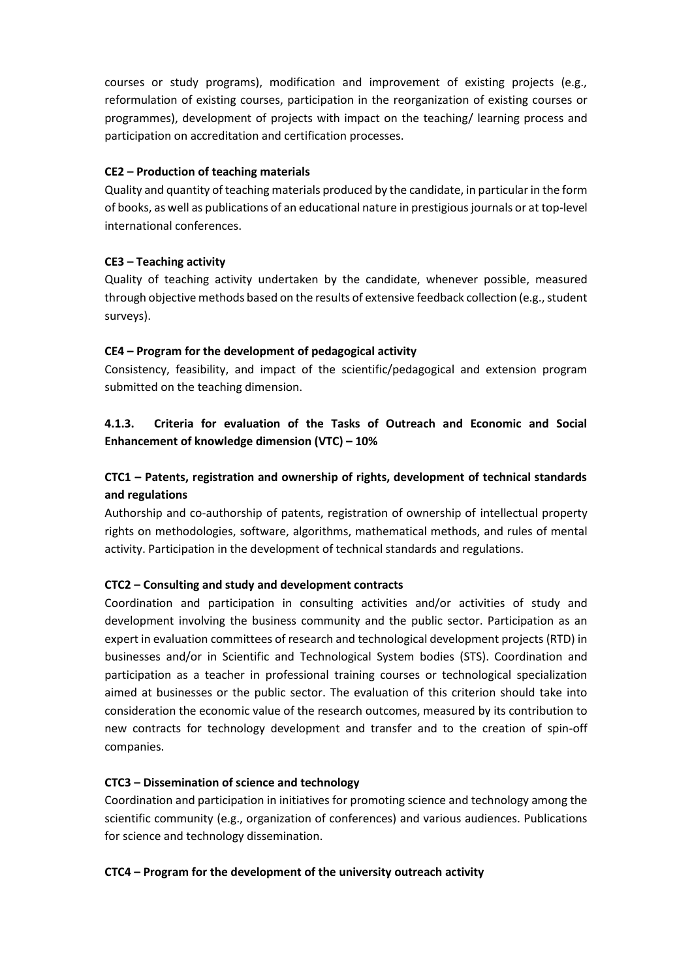courses or study programs), modification and improvement of existing projects (e.g., reformulation of existing courses, participation in the reorganization of existing courses or programmes), development of projects with impact on the teaching/ learning process and participation on accreditation and certification processes.

#### **CE2 – Production of teaching materials**

Quality and quantity of teaching materials produced by the candidate, in particular in the form of books, as well as publications of an educational nature in prestigious journals or at top-level international conferences.

## **CE3 – Teaching activity**

Quality of teaching activity undertaken by the candidate, whenever possible, measured through objective methods based on the results of extensive feedback collection (e.g., student surveys).

#### **CE4 – Program for the development of pedagogical activity**

Consistency, feasibility, and impact of the scientific/pedagogical and extension program submitted on the teaching dimension.

# **4.1.3. Criteria for evaluation of the Tasks of Outreach and Economic and Social Enhancement of knowledge dimension (VTC) – 10%**

# **CTC1 – Patents, registration and ownership of rights, development of technical standards and regulations**

Authorship and co-authorship of patents, registration of ownership of intellectual property rights on methodologies, software, algorithms, mathematical methods, and rules of mental activity. Participation in the development of technical standards and regulations.

#### **CTC2 – Consulting and study and development contracts**

Coordination and participation in consulting activities and/or activities of study and development involving the business community and the public sector. Participation as an expert in evaluation committees of research and technological development projects (RTD) in businesses and/or in Scientific and Technological System bodies (STS). Coordination and participation as a teacher in professional training courses or technological specialization aimed at businesses or the public sector. The evaluation of this criterion should take into consideration the economic value of the research outcomes, measured by its contribution to new contracts for technology development and transfer and to the creation of spin-off companies.

#### **CTC3 – Dissemination of science and technology**

Coordination and participation in initiatives for promoting science and technology among the scientific community (e.g., organization of conferences) and various audiences. Publications for science and technology dissemination.

#### **CTC4 – Program for the development of the university outreach activity**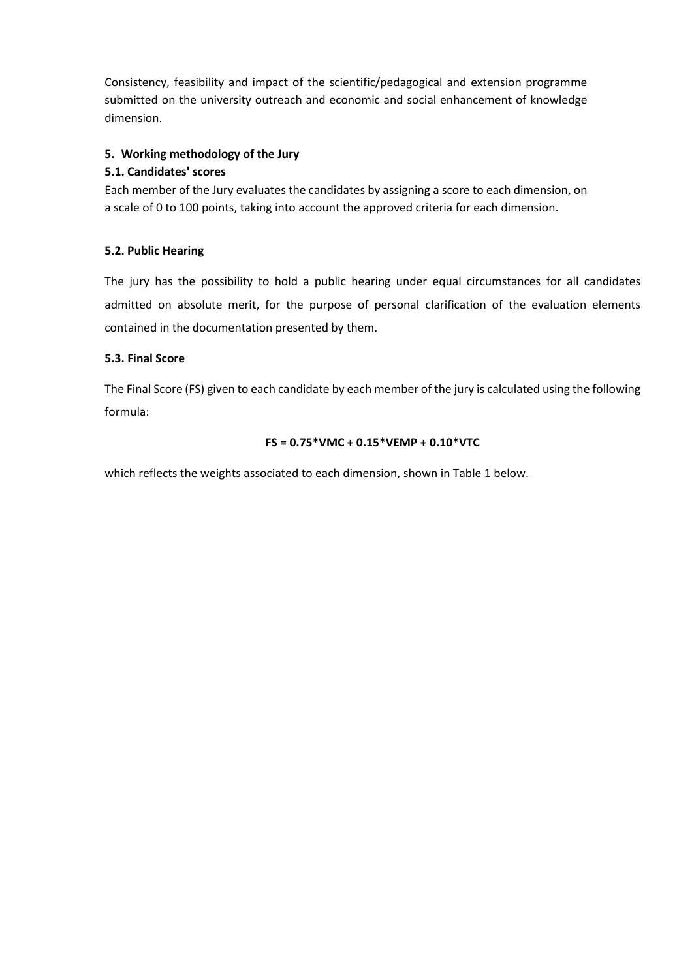Consistency, feasibility and impact of the scientific/pedagogical and extension programme submitted on the university outreach and economic and social enhancement of knowledge dimension.

## **5. Working methodology of the Jury**

## **5.1. Candidates' scores**

Each member of the Jury evaluates the candidates by assigning a score to each dimension, on a scale of 0 to 100 points, taking into account the approved criteria for each dimension.

## **5.2. Public Hearing**

The jury has the possibility to hold a public hearing under equal circumstances for all candidates admitted on absolute merit, for the purpose of personal clarification of the evaluation elements contained in the documentation presented by them.

## **5.3. Final Score**

The Final Score (FS) given to each candidate by each member of the jury is calculated using the following formula:

## **FS = 0.75\*VMC + 0.15\*VEMP + 0.10\*VTC**

which reflects the weights associated to each dimension, shown in Table 1 below.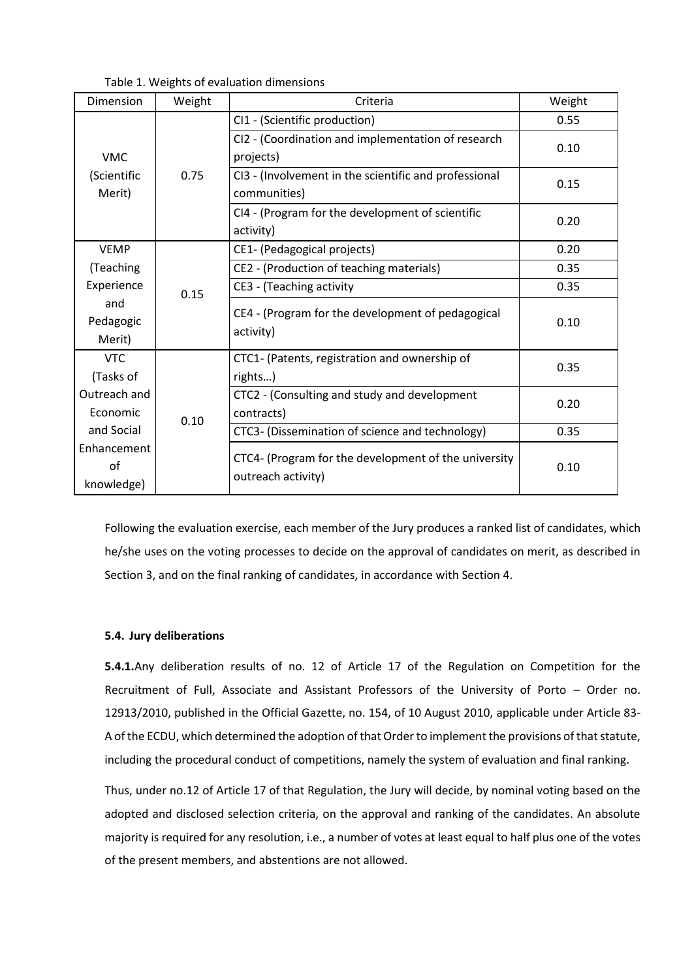Table 1. Weights of evaluation dimensions

| Dimension                           | Weight | Criteria                                                                   | Weight |
|-------------------------------------|--------|----------------------------------------------------------------------------|--------|
| <b>VMC</b><br>(Scientific<br>Merit) | 0.75   | CI1 - (Scientific production)                                              | 0.55   |
|                                     |        | CI2 - (Coordination and implementation of research<br>projects)            | 0.10   |
|                                     |        | CI3 - (Involvement in the scientific and professional<br>communities)      | 0.15   |
|                                     |        | CI4 - (Program for the development of scientific<br>activity)              | 0.20   |
| <b>VEMP</b>                         | 0.15   | CE1- (Pedagogical projects)                                                | 0.20   |
| (Teaching                           |        | CE2 - (Production of teaching materials)                                   | 0.35   |
| Experience                          |        | CE3 - (Teaching activity                                                   | 0.35   |
| and<br>Pedagogic<br>Merit)          |        | CE4 - (Program for the development of pedagogical<br>activity)             | 0.10   |
| <b>VTC</b><br>(Tasks of             | 0.10   | CTC1- (Patents, registration and ownership of<br>rights)                   | 0.35   |
| Outreach and<br>Economic            |        | CTC2 - (Consulting and study and development<br>contracts)                 | 0.20   |
| and Social                          |        | CTC3- (Dissemination of science and technology)                            | 0.35   |
| Enhancement<br>of<br>knowledge)     |        | CTC4- (Program for the development of the university<br>outreach activity) | 0.10   |

Following the evaluation exercise, each member of the Jury produces a ranked list of candidates, which he/she uses on the voting processes to decide on the approval of candidates on merit, as described in Section 3, and on the final ranking of candidates, in accordance with Section 4.

#### **5.4. Jury deliberations**

**5.4.1.**Any deliberation results of no. 12 of Article 17 of the Regulation on Competition for the Recruitment of Full, Associate and Assistant Professors of the University of Porto – Order no. 12913/2010, published in the Official Gazette, no. 154, of 10 August 2010, applicable under Article 83- A of the ECDU, which determined the adoption of that Order to implement the provisions of that statute, including the procedural conduct of competitions, namely the system of evaluation and final ranking.

Thus, under no.12 of Article 17 of that Regulation, the Jury will decide, by nominal voting based on the adopted and disclosed selection criteria, on the approval and ranking of the candidates. An absolute majority is required for any resolution, i.e., a number of votes at least equal to half plus one of the votes of the present members, and abstentions are not allowed.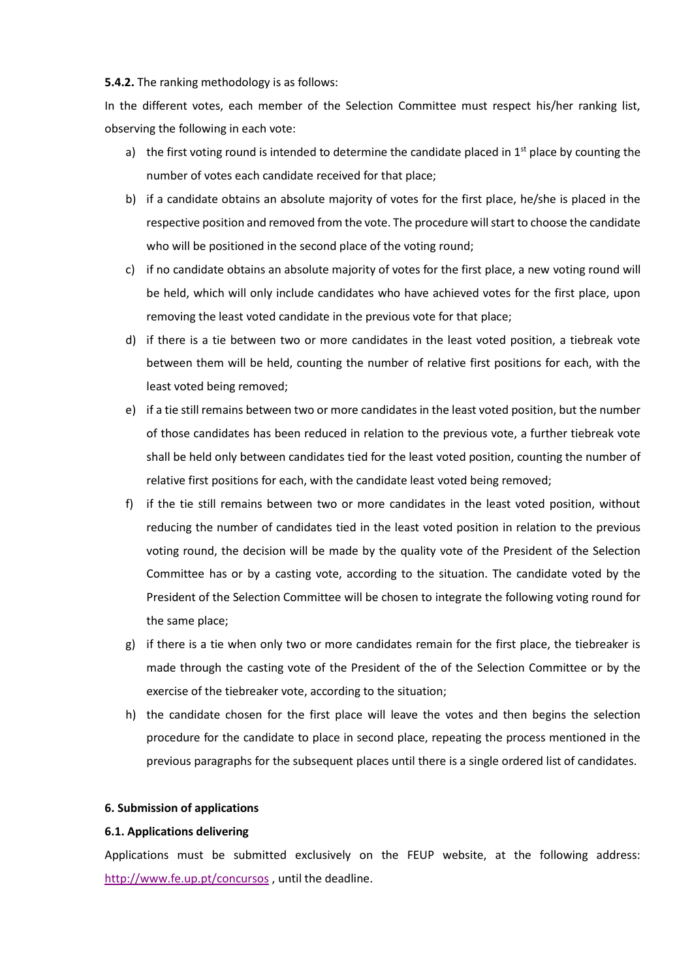**5.4.2.** The ranking methodology is as follows:

In the different votes, each member of the Selection Committee must respect his/her ranking list, observing the following in each vote:

- a) the first voting round is intended to determine the candidate placed in  $1<sup>st</sup>$  place by counting the number of votes each candidate received for that place;
- b) if a candidate obtains an absolute majority of votes for the first place, he/she is placed in the respective position and removed from the vote. The procedure will start to choose the candidate who will be positioned in the second place of the voting round;
- c) if no candidate obtains an absolute majority of votes for the first place, a new voting round will be held, which will only include candidates who have achieved votes for the first place, upon removing the least voted candidate in the previous vote for that place;
- d) if there is a tie between two or more candidates in the least voted position, a tiebreak vote between them will be held, counting the number of relative first positions for each, with the least voted being removed;
- e) if a tie still remains between two or more candidates in the least voted position, but the number of those candidates has been reduced in relation to the previous vote, a further tiebreak vote shall be held only between candidates tied for the least voted position, counting the number of relative first positions for each, with the candidate least voted being removed;
- f) if the tie still remains between two or more candidates in the least voted position, without reducing the number of candidates tied in the least voted position in relation to the previous voting round, the decision will be made by the quality vote of the President of the Selection Committee has or by a casting vote, according to the situation. The candidate voted by the President of the Selection Committee will be chosen to integrate the following voting round for the same place;
- g) if there is a tie when only two or more candidates remain for the first place, the tiebreaker is made through the casting vote of the President of the of the Selection Committee or by the exercise of the tiebreaker vote, according to the situation;
- h) the candidate chosen for the first place will leave the votes and then begins the selection procedure for the candidate to place in second place, repeating the process mentioned in the previous paragraphs for the subsequent places until there is a single ordered list of candidates.

#### **6. Submission of applications**

#### **6.1. Applications delivering**

Applications must be submitted exclusively on the FEUP website, at the following address: <http://www.fe.up.pt/concursos>, until the deadline.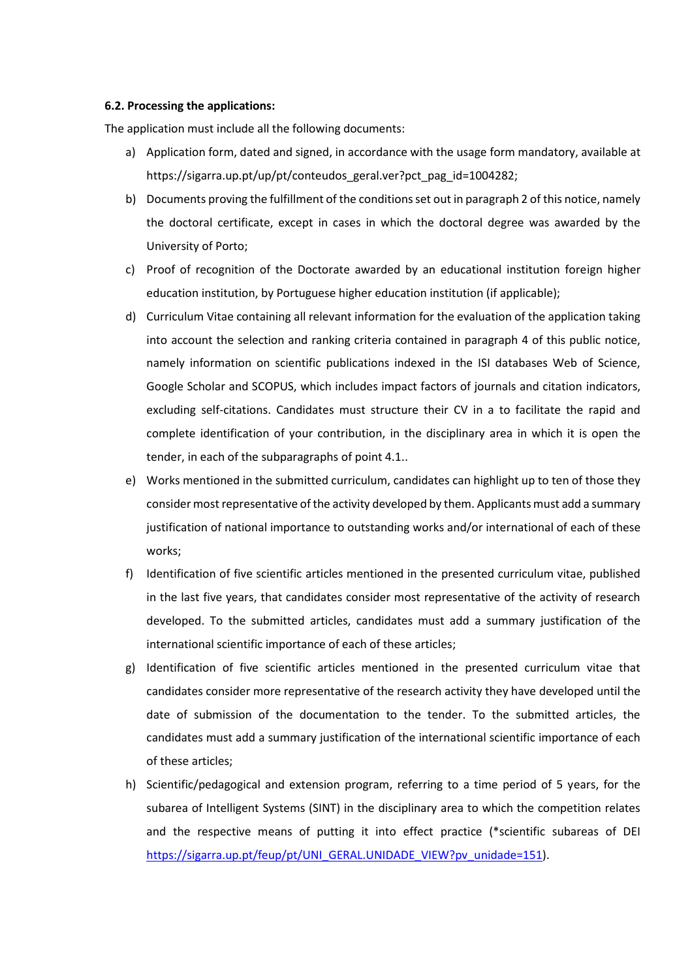#### **6.2. Processing the applications:**

The application must include all the following documents:

- a) Application form, dated and signed, in accordance with the usage form mandatory, available at https://sigarra.up.pt/up/pt/conteudos\_geral.ver?pct\_pag\_id=1004282;
- b) Documents proving the fulfillment of the conditions set out in paragraph 2 of this notice, namely the doctoral certificate, except in cases in which the doctoral degree was awarded by the University of Porto;
- c) Proof of recognition of the Doctorate awarded by an educational institution foreign higher education institution, by Portuguese higher education institution (if applicable);
- d) Curriculum Vitae containing all relevant information for the evaluation of the application taking into account the selection and ranking criteria contained in paragraph 4 of this public notice, namely information on scientific publications indexed in the ISI databases Web of Science, Google Scholar and SCOPUS, which includes impact factors of journals and citation indicators, excluding self-citations. Candidates must structure their CV in a to facilitate the rapid and complete identification of your contribution, in the disciplinary area in which it is open the tender, in each of the subparagraphs of point 4.1..
- e) Works mentioned in the submitted curriculum, candidates can highlight up to ten of those they consider most representative of the activity developed by them. Applicants must add a summary justification of national importance to outstanding works and/or international of each of these works;
- f) Identification of five scientific articles mentioned in the presented curriculum vitae, published in the last five years, that candidates consider most representative of the activity of research developed. To the submitted articles, candidates must add a summary justification of the international scientific importance of each of these articles;
- g) Identification of five scientific articles mentioned in the presented curriculum vitae that candidates consider more representative of the research activity they have developed until the date of submission of the documentation to the tender. To the submitted articles, the candidates must add a summary justification of the international scientific importance of each of these articles;
- h) Scientific/pedagogical and extension program, referring to a time period of 5 years, for the subarea of Intelligent Systems (SINT) in the disciplinary area to which the competition relates and the respective means of putting it into effect practice (\*scientific subareas of DEI [https://sigarra.up.pt/feup/pt/UNI\\_GERAL.UNIDADE\\_VIEW?pv\\_unidade=151\)](https://sigarra.up.pt/feup/pt/UNI_GERAL.UNIDADE_VIEW?pv_unidade=151).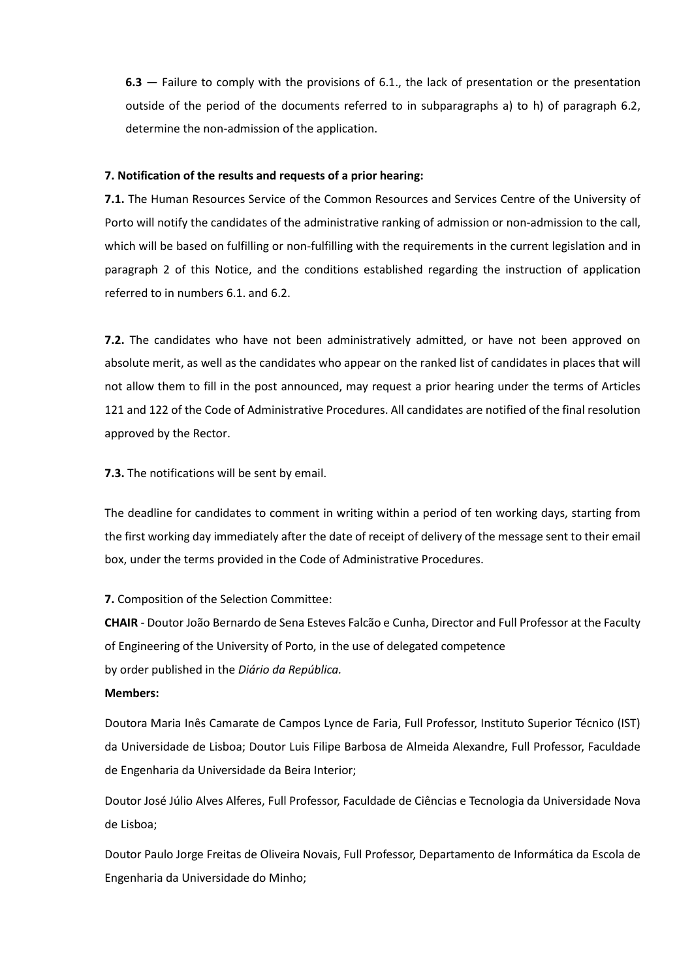**6.3** — Failure to comply with the provisions of 6.1., the lack of presentation or the presentation outside of the period of the documents referred to in subparagraphs a) to h) of paragraph 6.2, determine the non-admission of the application.

#### **7. Notification of the results and requests of a prior hearing:**

**7.1.** The Human Resources Service of the Common Resources and Services Centre of the University of Porto will notify the candidates of the administrative ranking of admission or non-admission to the call, which will be based on fulfilling or non-fulfilling with the requirements in the current legislation and in paragraph 2 of this Notice, and the conditions established regarding the instruction of application referred to in numbers 6.1. and 6.2.

**7.2.** The candidates who have not been administratively admitted, or have not been approved on absolute merit, as well as the candidates who appear on the ranked list of candidates in places that will not allow them to fill in the post announced, may request a prior hearing under the terms of Articles 121 and 122 of the Code of Administrative Procedures. All candidates are notified of the final resolution approved by the Rector.

**7.3.** The notifications will be sent by email.

The deadline for candidates to comment in writing within a period of ten working days, starting from the first working day immediately after the date of receipt of delivery of the message sent to their email box, under the terms provided in the Code of Administrative Procedures.

**7.** Composition of the Selection Committee:

**CHAIR** - Doutor João Bernardo de Sena Esteves Falcão e Cunha, Director and Full Professor at the Faculty of Engineering of the University of Porto, in the use of delegated competence by order published in the *Diário da República.*

#### **Members:**

Doutora Maria Inês Camarate de Campos Lynce de Faria, Full Professor, Instituto Superior Técnico (IST) da Universidade de Lisboa; Doutor Luis Filipe Barbosa de Almeida Alexandre, Full Professor, Faculdade de Engenharia da Universidade da Beira Interior;

Doutor José Júlio Alves Alferes, Full Professor, Faculdade de Ciências e Tecnologia da Universidade Nova de Lisboa;

Doutor Paulo Jorge Freitas de Oliveira Novais, Full Professor, Departamento de Informática da Escola de Engenharia da Universidade do Minho;